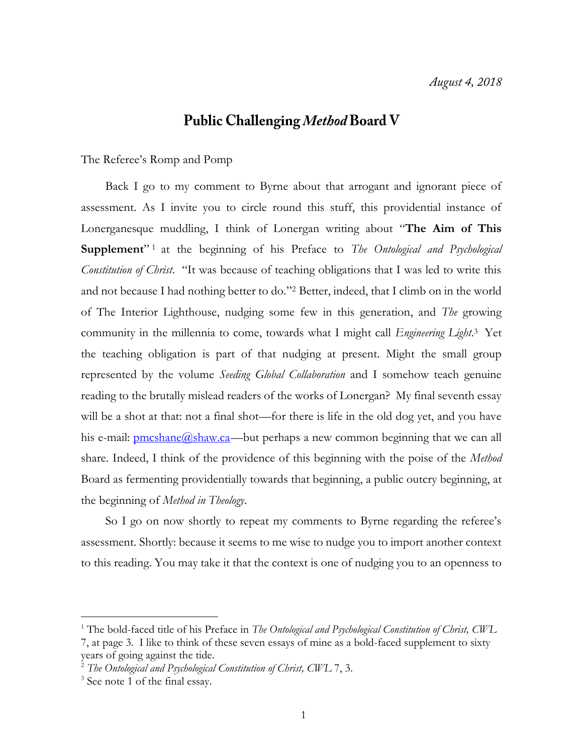## **Public Challenging Method Board V**

## The Referee's Romp and Pomp

Back I go to my comment to Byrne about that arrogant and ignorant piece of assessment. As I invite you to circle round this stuff, this providential instance of Lonerganesque muddling, I think of Lonergan writing about "**The Aim of This**  Supplement"<sup>1</sup> at the beginning of his Preface to *The Ontological and Psychological Constitution of Christ*. "It was because of teaching obligations that I was led to write this and not because I had nothing better to do."<sup>2</sup> Better, indeed, that I climb on in the world of The Interior Lighthouse, nudging some few in this generation, and *The* growing community in the millennia to come, towards what I might call *Engineering Light*. <sup>3</sup> Yet the teaching obligation is part of that nudging at present. Might the small group represented by the volume *Seeding Global Collaboration* and I somehow teach genuine reading to the brutally mislead readers of the works of Lonergan? My final seventh essay will be a shot at that: not a final shot—for there is life in the old dog yet, and you have his e-mail: <u>pmcshane@shaw.ca</u>—but perhaps a new common beginning that we can all share. Indeed, I think of the providence of this beginning with the poise of the *Method* Board as fermenting providentially towards that beginning, a public outcry beginning, at the beginning of *Method in Theology*.

So I go on now shortly to repeat my comments to Byrne regarding the referee's assessment. Shortly: because it seems to me wise to nudge you to import another context to this reading. You may take it that the context is one of nudging you to an openness to

<sup>1</sup> The bold-faced title of his Preface in *The Ontological and Psychological Constitution of Christ, CWL* 7, at page 3. I like to think of these seven essays of mine as a bold-faced supplement to sixty years of going against the tide.

<sup>2</sup> *The Ontological and Psychological Constitution of Christ, CWL* 7, 3.

<sup>&</sup>lt;sup>3</sup> See note 1 of the final essay.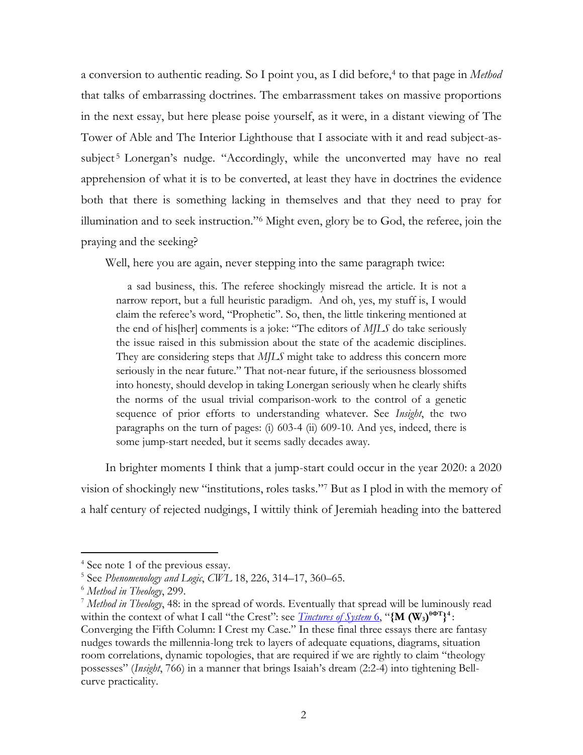a conversion to authentic reading. So I point you, as I did before,<sup>4</sup> to that page in *Method* that talks of embarrassing doctrines. The embarrassment takes on massive proportions in the next essay, but here please poise yourself, as it were, in a distant viewing of The Tower of Able and The Interior Lighthouse that I associate with it and read subject-assubject<sup>5</sup> Lonergan's nudge. "Accordingly, while the unconverted may have no real apprehension of what it is to be converted, at least they have in doctrines the evidence both that there is something lacking in themselves and that they need to pray for illumination and to seek instruction."<sup>6</sup> Might even, glory be to God, the referee, join the praying and the seeking?

Well, here you are again, never stepping into the same paragraph twice:

 a sad business, this. The referee shockingly misread the article. It is not a narrow report, but a full heuristic paradigm. And oh, yes, my stuff is, I would claim the referee's word, "Prophetic". So, then, the little tinkering mentioned at the end of his[her] comments is a joke: "The editors of *MJLS* do take seriously the issue raised in this submission about the state of the academic disciplines. They are considering steps that *MJLS* might take to address this concern more seriously in the near future." That not-near future, if the seriousness blossomed into honesty, should develop in taking Lonergan seriously when he clearly shifts the norms of the usual trivial comparison-work to the control of a genetic sequence of prior efforts to understanding whatever. See *Insight*, the two paragraphs on the turn of pages: (i) 603-4 (ii) 609-10. And yes, indeed, there is some jump-start needed, but it seems sadly decades away.

In brighter moments I think that a jump-start could occur in the year 2020: a 2020 vision of shockingly new "institutions, roles tasks."<sup>7</sup> But as I plod in with the memory of a half century of rejected nudgings, I wittily think of Jeremiah heading into the battered

<sup>4</sup> See note 1 of the previous essay.

<sup>5</sup> See *Phenomenology and Logic*, *CWL* 18, 226, 314–17, 360–65.

<sup>6</sup> *Method in Theology*, 299.

<sup>7</sup> *Method in Theology*, 48: in the spread of words. Eventually that spread will be luminously read within the context of what I call "the Crest": see *[Tinctures of System](http://www.philipmcshane.org/wp-content/themes/philip/online_publications/series/tinctures/Tinctures%206.pdf) 6*, "{M (W<sub>3</sub>)<sup>0</sup><sup>OT</sup>}<sup>4</sup>: Converging the Fifth Column: I Crest my Case." In these final three essays there are fantasy nudges towards the millennia-long trek to layers of adequate equations, diagrams, situation room correlations, dynamic topologies, that are required if we are rightly to claim "theology possesses" (*Insight*, 766) in a manner that brings Isaiah's dream (2:2-4) into tightening Bellcurve practicality.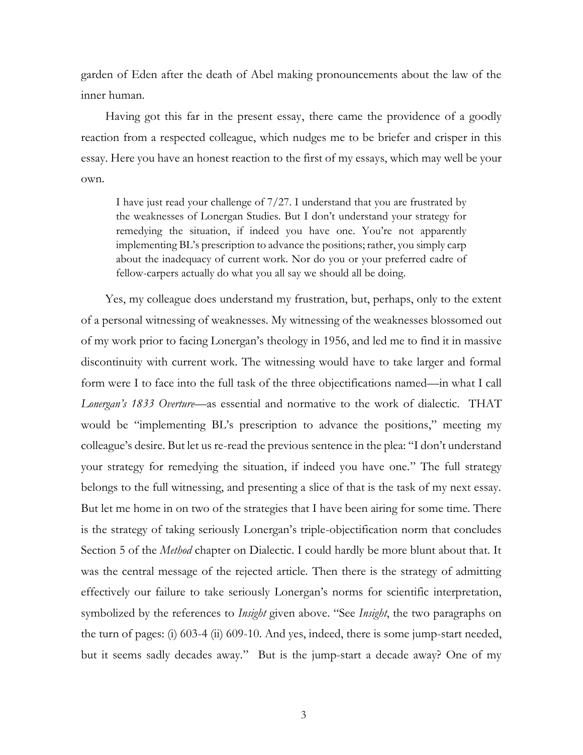garden of Eden after the death of Abel making pronouncements about the law of the inner human.

Having got this far in the present essay, there came the providence of a goodly reaction from a respected colleague, which nudges me to be briefer and crisper in this essay. Here you have an honest reaction to the first of my essays, which may well be your own.

I have just read your challenge of 7/27. I understand that you are frustrated by the weaknesses of Lonergan Studies. But I don't understand your strategy for remedying the situation, if indeed you have one. You're not apparently implementing BL's prescription to advance the positions; rather, you simply carp about the inadequacy of current work. Nor do you or your preferred cadre of fellow-carpers actually do what you all say we should all be doing.

Yes, my colleague does understand my frustration, but, perhaps, only to the extent of a personal witnessing of weaknesses. My witnessing of the weaknesses blossomed out of my work prior to facing Lonergan's theology in 1956, and led me to find it in massive discontinuity with current work. The witnessing would have to take larger and formal form were I to face into the full task of the three objectifications named—in what I call *Lonergan's 1833 Overture*—as essential and normative to the work of dialectic. THAT would be "implementing BL's prescription to advance the positions," meeting my colleague's desire. But let us re-read the previous sentence in the plea: "I don't understand your strategy for remedying the situation, if indeed you have one." The full strategy belongs to the full witnessing, and presenting a slice of that is the task of my next essay. But let me home in on two of the strategies that I have been airing for some time. There is the strategy of taking seriously Lonergan's triple-objectification norm that concludes Section 5 of the *Method* chapter on Dialectic. I could hardly be more blunt about that. It was the central message of the rejected article. Then there is the strategy of admitting effectively our failure to take seriously Lonergan's norms for scientific interpretation, symbolized by the references to *Insight* given above. "See *Insight*, the two paragraphs on the turn of pages: (i) 603-4 (ii) 609-10. And yes, indeed, there is some jump-start needed, but it seems sadly decades away." But is the jump-start a decade away? One of my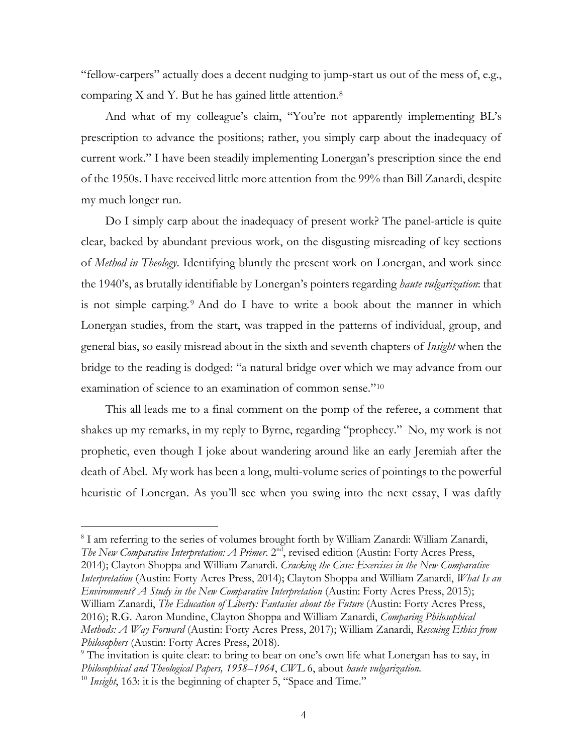"fellow-carpers" actually does a decent nudging to jump-start us out of the mess of, e.g., comparing X and Y. But he has gained little attention.<sup>8</sup>

And what of my colleague's claim, "You're not apparently implementing BL's prescription to advance the positions; rather, you simply carp about the inadequacy of current work." I have been steadily implementing Lonergan's prescription since the end of the 1950s. I have received little more attention from the 99% than Bill Zanardi, despite my much longer run.

Do I simply carp about the inadequacy of present work? The panel-article is quite clear, backed by abundant previous work, on the disgusting misreading of key sections of *Method in Theology*. Identifying bluntly the present work on Lonergan, and work since the 1940's, as brutally identifiable by Lonergan's pointers regarding *haute vulgarization*: that is not simple carping.<sup>9</sup> And do I have to write a book about the manner in which Lonergan studies, from the start, was trapped in the patterns of individual, group, and general bias, so easily misread about in the sixth and seventh chapters of *Insight* when the bridge to the reading is dodged: "a natural bridge over which we may advance from our examination of science to an examination of common sense."<sup>10</sup>

This all leads me to a final comment on the pomp of the referee, a comment that shakes up my remarks, in my reply to Byrne, regarding "prophecy." No, my work is not prophetic, even though I joke about wandering around like an early Jeremiah after the death of Abel. My work has been a long, multi-volume series of pointings to the powerful heuristic of Lonergan. As you'll see when you swing into the next essay, I was daftly

<sup>&</sup>lt;sup>8</sup> I am referring to the series of volumes brought forth by William Zanardi: William Zanardi, *The New Comparative Interpretation: A Primer.* 2<sup>nd</sup>, revised edition (Austin: Forty Acres Press, 2014); Clayton Shoppa and William Zanardi. *Cracking the Case: Exercises in the New Comparative Interpretation* (Austin: Forty Acres Press, 2014); Clayton Shoppa and William Zanardi, *What Is an Environment? A Study in the New Comparative Interpretation* (Austin: Forty Acres Press, 2015); William Zanardi, *The Education of Liberty: Fantasies about the Future* (Austin: Forty Acres Press, 2016); R.G. Aaron Mundine, Clayton Shoppa and William Zanardi, *Comparing Philosophical Methods: A Way Forward* (Austin: Forty Acres Press, 2017); William Zanardi, *Rescuing Ethics from Philosophers* (Austin: Forty Acres Press, 2018).

<sup>&</sup>lt;sup>9</sup> The invitation is quite clear: to bring to bear on one's own life what Lonergan has to say, in *Philosophical and Theological Papers, 1958–1964*, *CWL* 6, about *haute vulgarization.* <sup>10</sup> *Insight*, 163: it is the beginning of chapter 5, "Space and Time."